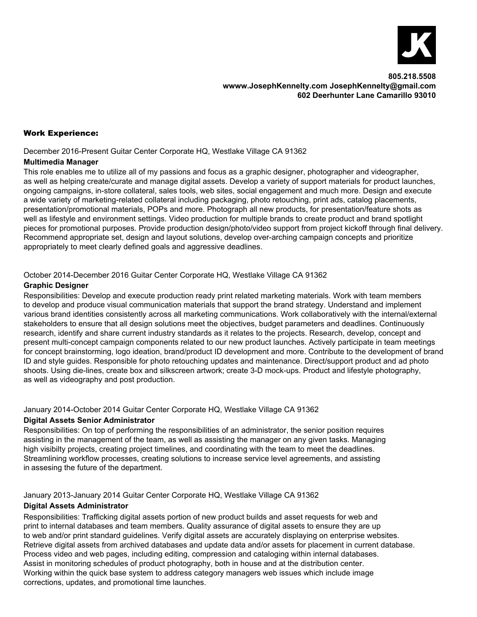

## Work Experience:

December 2016-Present Guitar Center Corporate HQ, Westlake Village CA 91362

#### **Multimedia Manager**

This role enables me to utilize all of my passions and focus as a graphic designer, photographer and videographer, as well as helping create/curate and manage digital assets. Develop a variety of support materials for product launches, ongoing campaigns, in-store collateral, sales tools, web sites, social engagement and much more. Design and execute a wide variety of marketing-related collateral including packaging, photo retouching, print ads, catalog placements, presentation/promotional materials, POPs and more. Photograph all new products, for presentation/feature shots as well as lifestyle and environment settings. Video production for multiple brands to create product and brand spotlight pieces for promotional purposes. Provide production design/photo/video support from project kickoff through final delivery. Recommend appropriate set, design and layout solutions, develop over-arching campaign concepts and prioritize appropriately to meet clearly defined goals and aggressive deadlines.

### October 2014-December 2016 Guitar Center Corporate HQ, Westlake Village CA 91362

### **Graphic Designer**

Responsibilities: Develop and execute production ready print related marketing materials. Work with team members to develop and produce visual communication materials that support the brand strategy. Understand and implement various brand identities consistently across all marketing communications. Work collaboratively with the internal/external stakeholders to ensure that all design solutions meet the objectives, budget parameters and deadlines. Continuously research, identify and share current industry standards as it relates to the projects. Research, develop, concept and present multi-concept campaign components related to our new product launches. Actively participate in team meetings for concept brainstorming, logo ideation, brand/product ID development and more. Contribute to the development of brand ID and style guides. Responsible for photo retouching updates and maintenance. Direct/support product and ad photo shoots. Using die-lines, create box and silkscreen artwork; create 3-D mock-ups. Product and lifestyle photography, as well as videography and post production.

### January 2014-October 2014 Guitar Center Corporate HQ, Westlake Village CA 91362

### **Digital Assets Senior Administrator**

Responsibilities: On top of performing the responsibilities of an administrator, the senior position requires assisting in the management of the team, as well as assisting the manager on any given tasks. Managing high visibilty projects, creating project timelines, and coordinating with the team to meet the deadlines. Streamlining workflow processes, creating solutions to increase service level agreements, and assisting in assesing the future of the department.

January 2013-January 2014 Guitar Center Corporate HQ, Westlake Village CA 91362

#### **Digital Assets Administrator**

Responsibilities: Trafficking digital assets portion of new product builds and asset requests for web and print to internal databases and team members. Quality assurance of digital assets to ensure they are up to web and/or print standard guidelines. Verify digital assets are accurately displaying on enterprise websites. Retrieve digital assets from archived databases and update data and/or assets for placement in current database. Process video and web pages, including editing, compression and cataloging within internal databases. Assist in monitoring schedules of product photography, both in house and at the distribution center. Working within the quick base system to address category managers web issues which include image corrections, updates, and promotional time launches.